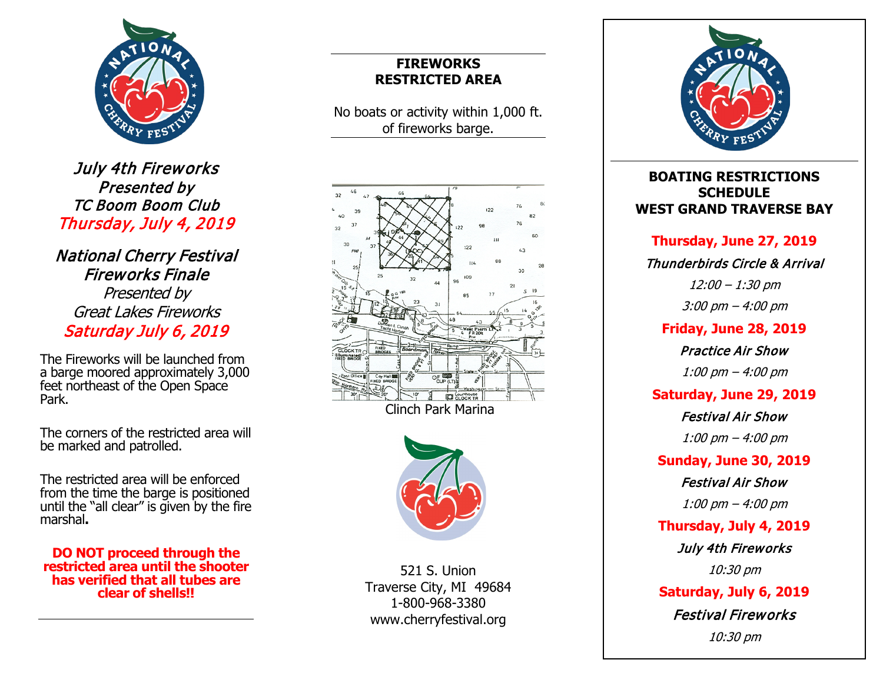

July 4th Fireworks Presented by TC Boom Boom Club Thursday, July 4, 2019

National Cherry Festival Fireworks Finale Presented by Great Lakes Fireworks Saturday July 6, 2019

The Fireworks will be launched from a barge moored approximately 3,000 feet northeast of the Open Space Park.

The corners of the restricted area will be marked and patrolled.

The restricted area will be enforced from the time the barge is positioned until the "all clear" is given by the fire marshal **.**

**DO NOT proceed through the restricted area until the shooter has verified that all tubes are clear of shells!!**

## **FIREWORKS RESTRICTED AREA**

No boats or activity within 1,000 ft. of fireworks barge .





521 S. Union Traverse City, MI 49684 1-800-968-3380 www.cherryfestival.org



### **BOATING RESTRICTIONS SCHEDULE WEST GRAND TRAVERSE BAY**

### **Thursday, June 27, 2019**

### Thunderbirds Circle & Arrival

12:00 – 1:30 pm

3:00 pm – 4:00 pm

### **Friday, June 28, 2019**

Practice Air Show

1:00 pm – 4:00 pm

### **Saturday, June 29, 2019**

Festival Air Show

1:00 pm – 4:00 pm

### **Sunday, June 30, 2019**

Festival Air Show 1:00 pm – 4:00 pm

**Thursday, July 4, 2019**

July 4th Fireworks

10:30 pm

**Saturday, July 6, 201 9** Festival Fireworks

10:30 pm